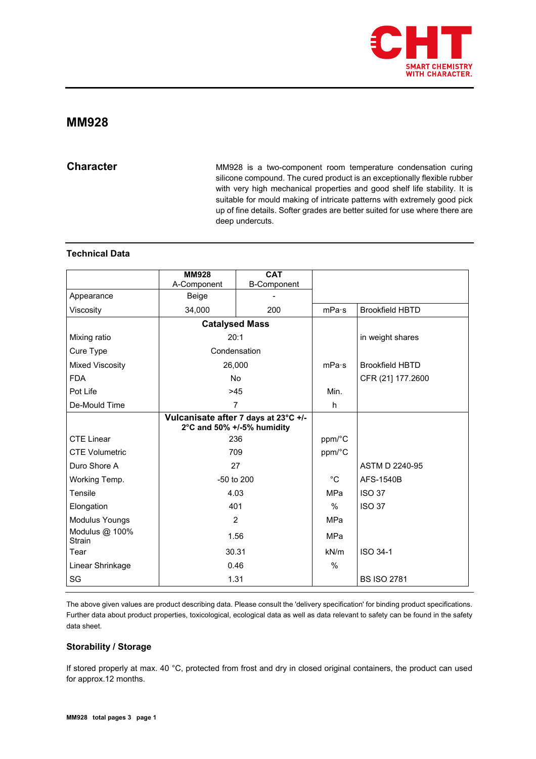

# **MM928**

**Character** MM928 is a two-component room temperature condensation curing silicone compound. The cured product is an exceptionally flexible rubber with very high mechanical properties and good shelf life stability. It is suitable for mould making of intricate patterns with extremely good pick up of fine details. Softer grades are better suited for use where there are deep undercuts.

## **Technical Data**

|                                 | <b>MM928</b>               | <b>CAT</b>                           |               |                        |
|---------------------------------|----------------------------|--------------------------------------|---------------|------------------------|
|                                 | A-Component                | <b>B-Component</b>                   |               |                        |
| Appearance                      | Beige                      |                                      |               |                        |
| Viscosity                       | 34,000                     | 200                                  | mPa·s         | <b>Brookfield HBTD</b> |
|                                 | <b>Catalysed Mass</b>      |                                      |               |                        |
| Mixing ratio                    | 20:1                       |                                      |               | in weight shares       |
| Cure Type                       | Condensation               |                                      |               |                        |
| <b>Mixed Viscosity</b>          | 26,000                     |                                      | mPa·s         | <b>Brookfield HBTD</b> |
| <b>FDA</b>                      | <b>No</b>                  |                                      |               | CFR (21) 177.2600      |
| Pot Life                        | $>45$                      |                                      | Min.          |                        |
| De-Mould Time                   | $\overline{7}$             |                                      | h             |                        |
|                                 | 2°C and 50% +/-5% humidity | Vulcanisate after 7 days at 23°C +/- |               |                        |
| <b>CTE Linear</b>               | 236                        |                                      | ppm/°C        |                        |
| <b>CTE Volumetric</b>           | 709                        |                                      | ppm/°C        |                        |
| Duro Shore A                    | 27                         |                                      |               | ASTM D 2240-95         |
| Working Temp.                   | -50 to 200                 |                                      | $^{\circ}$ C  | AFS-1540B              |
| Tensile                         | 4.03                       |                                      | <b>MPa</b>    | <b>ISO 37</b>          |
| Elongation                      | 401                        |                                      | $\frac{0}{0}$ | <b>ISO 37</b>          |
| Modulus Youngs                  | $\overline{2}$             |                                      | <b>MPa</b>    |                        |
| Modulus @ 100%<br><b>Strain</b> | 1.56                       |                                      | MPa           |                        |
| Tear                            | 30.31                      |                                      | kN/m          | ISO 34-1               |
| Linear Shrinkage                | 0.46                       |                                      | %             |                        |
| SG                              | 1.31                       |                                      |               | <b>BS ISO 2781</b>     |

The above given values are product describing data. Please consult the 'delivery specification' for binding product specifications. Further data about product properties, toxicological, ecological data as well as data relevant to safety can be found in the safety data sheet.

## **Storability / Storage**

If stored properly at max. 40 °C, protected from frost and dry in closed original containers, the product can used for approx.12 months.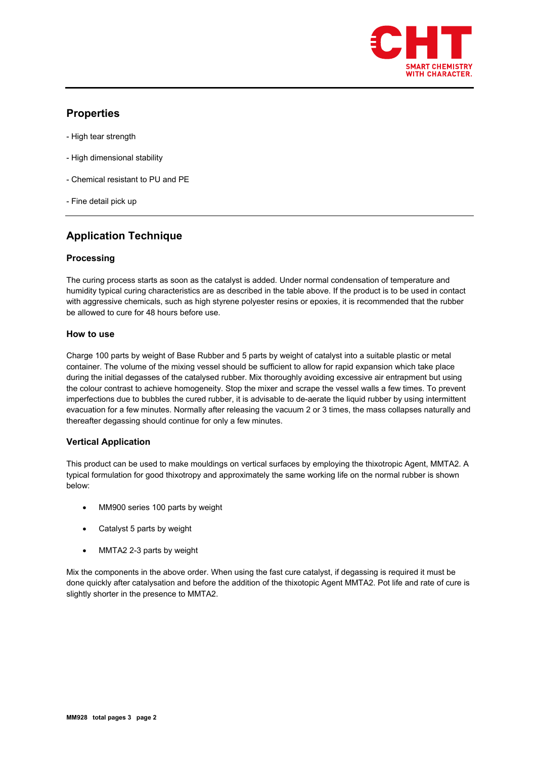

# **Properties**

- High tear strength
- High dimensional stability
- Chemical resistant to PU and PE
- Fine detail pick up

# **Application Technique**

## **Processing**

The curing process starts as soon as the catalyst is added. Under normal condensation of temperature and humidity typical curing characteristics are as described in the table above. If the product is to be used in contact with aggressive chemicals, such as high styrene polyester resins or epoxies, it is recommended that the rubber be allowed to cure for 48 hours before use.

## **How to use**

Charge 100 parts by weight of Base Rubber and 5 parts by weight of catalyst into a suitable plastic or metal container. The volume of the mixing vessel should be sufficient to allow for rapid expansion which take place during the initial degasses of the catalysed rubber. Mix thoroughly avoiding excessive air entrapment but using the colour contrast to achieve homogeneity. Stop the mixer and scrape the vessel walls a few times. To prevent imperfections due to bubbles the cured rubber, it is advisable to de-aerate the liquid rubber by using intermittent evacuation for a few minutes. Normally after releasing the vacuum 2 or 3 times, the mass collapses naturally and thereafter degassing should continue for only a few minutes.

## **Vertical Application**

This product can be used to make mouldings on vertical surfaces by employing the thixotropic Agent, MMTA2. A typical formulation for good thixotropy and approximately the same working life on the normal rubber is shown below:

- MM900 series 100 parts by weight
- Catalyst 5 parts by weight
- MMTA2 2-3 parts by weight

Mix the components in the above order. When using the fast cure catalyst, if degassing is required it must be done quickly after catalysation and before the addition of the thixotopic Agent MMTA2. Pot life and rate of cure is slightly shorter in the presence to MMTA2.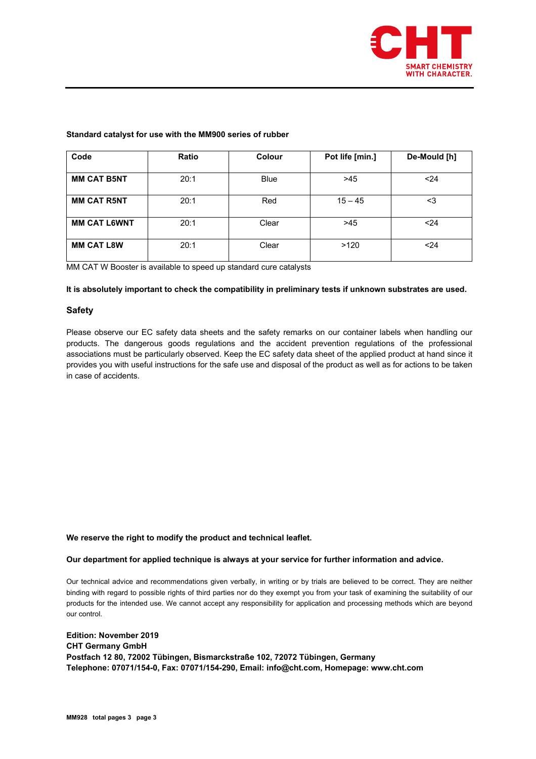

## **Standard catalyst for use with the MM900 series of rubber**

| Code                | <b>Ratio</b> | Colour      | Pot life [min.] | De-Mould [h] |
|---------------------|--------------|-------------|-----------------|--------------|
| <b>MM CAT B5NT</b>  | 20:1         | <b>Blue</b> | >45             | $24$         |
| <b>MM CAT R5NT</b>  | 20:1         | Red         | $15 - 45$       | <3           |
| <b>MM CAT L6WNT</b> | 20:1         | Clear       | >45             | < 24         |
| <b>MM CAT L8W</b>   | 20:1         | Clear       | >120            | < 24         |

MM CAT W Booster is available to speed up standard cure catalysts

## **It is absolutely important to check the compatibility in preliminary tests if unknown substrates are used.**

## **Safety**

Please observe our EC safety data sheets and the safety remarks on our container labels when handling our products. The dangerous goods regulations and the accident prevention regulations of the professional associations must be particularly observed. Keep the EC safety data sheet of the applied product at hand since it provides you with useful instructions for the safe use and disposal of the product as well as for actions to be taken in case of accidents.

## **We reserve the right to modify the product and technical leaflet.**

## **Our department for applied technique is always at your service for further information and advice.**

Our technical advice and recommendations given verbally, in writing or by trials are believed to be correct. They are neither binding with regard to possible rights of third parties nor do they exempt you from your task of examining the suitability of our products for the intended use. We cannot accept any responsibility for application and processing methods which are beyond our control.

## **Edition: November 2019 CHT Germany GmbH Postfach 12 80, 72002 Tübingen, Bismarckstraße 102, 72072 Tübingen, Germany Telephone: 07071/154-0, Fax: 07071/154-290, Email: info@cht.com, Homepage: www.cht.com**